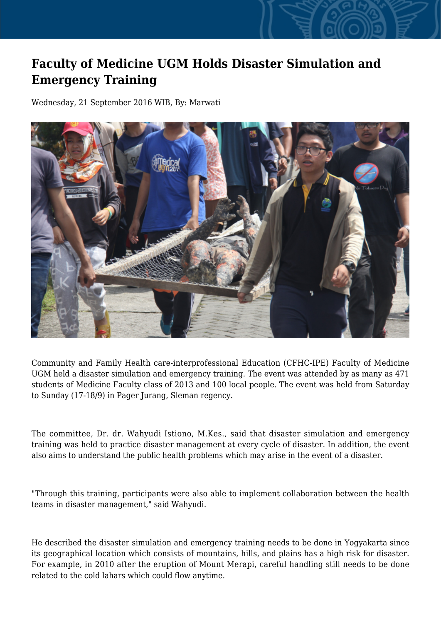## **Faculty of Medicine UGM Holds Disaster Simulation and Emergency Training**

Wednesday, 21 September 2016 WIB, By: Marwati



Community and Family Health care-interprofessional Education (CFHC-IPE) Faculty of Medicine UGM held a disaster simulation and emergency training. The event was attended by as many as 471 students of Medicine Faculty class of 2013 and 100 local people. The event was held from Saturday to Sunday (17-18/9) in Pager Jurang, Sleman regency.

The committee, Dr. dr. Wahyudi Istiono, M.Kes., said that disaster simulation and emergency training was held to practice disaster management at every cycle of disaster. In addition, the event also aims to understand the public health problems which may arise in the event of a disaster.

"Through this training, participants were also able to implement collaboration between the health teams in disaster management," said Wahyudi.

He described the disaster simulation and emergency training needs to be done in Yogyakarta since its geographical location which consists of mountains, hills, and plains has a high risk for disaster. For example, in 2010 after the eruption of Mount Merapi, careful handling still needs to be done related to the cold lahars which could flow anytime.